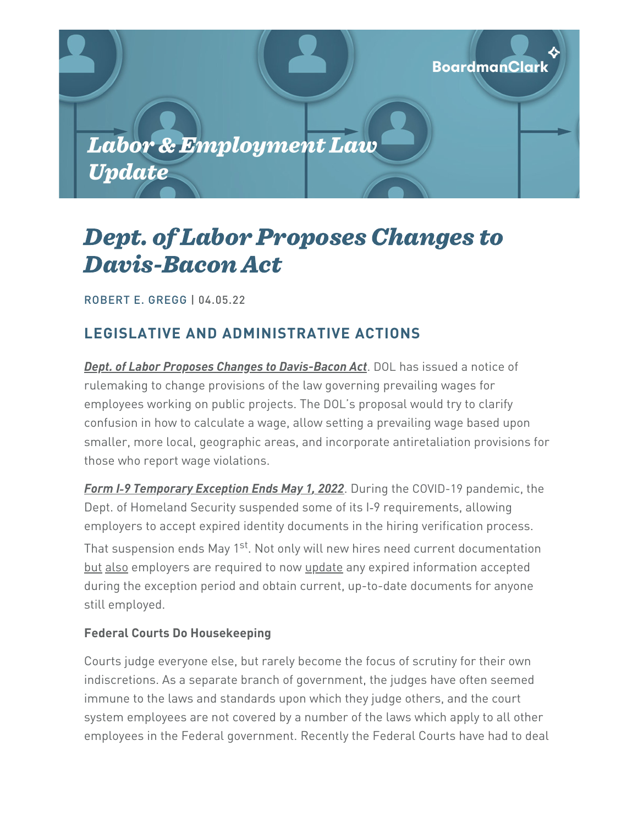

# Dept. of Labor Proposes Changes to Davis-Bacon Act

[ROBERT](https://www.boardmanclark.com/our-people/robert-e-gregg?token=q5X4dwd8DsMsK88Vkluv34G-2fR3YO1e) E. GREGG | 04.05.22

# **LEGISLATIVE AND ADMINISTRATIVE ACTIONS**

*Dept. of Labor Proposes Changes to Davis-Bacon Act*. DOL has issued a notice of rulemaking to change provisions of the law governing prevailing wages for employees working on public projects. The DOL's proposal would try to clarify confusion in how to calculate a wage, allow setting a prevailing wage based upon smaller, more local, geographic areas, and incorporate antiretaliation provisions for those who report wage violations.

*Form I‑9 Temporary Exception Ends May 1, 2022*. During the COVID-19 pandemic, the Dept. of Homeland Security suspended some of its I-9 requirements, allowing employers to accept expired identity documents in the hiring verification process. That suspension ends May 1<sup>st</sup>. Not only will new hires need current documentation but also employers are required to now update any expired information accepted during the exception period and obtain current, up-to-date documents for anyone still employed.

## **Federal Courts Do Housekeeping**

Courts judge everyone else, but rarely become the focus of scrutiny for their own indiscretions. As a separate branch of government, the judges have often seemed immune to the laws and standards upon which they judge others, and the court system employees are not covered by a number of the laws which apply to all other employees in the Federal government. Recently the Federal Courts have had to deal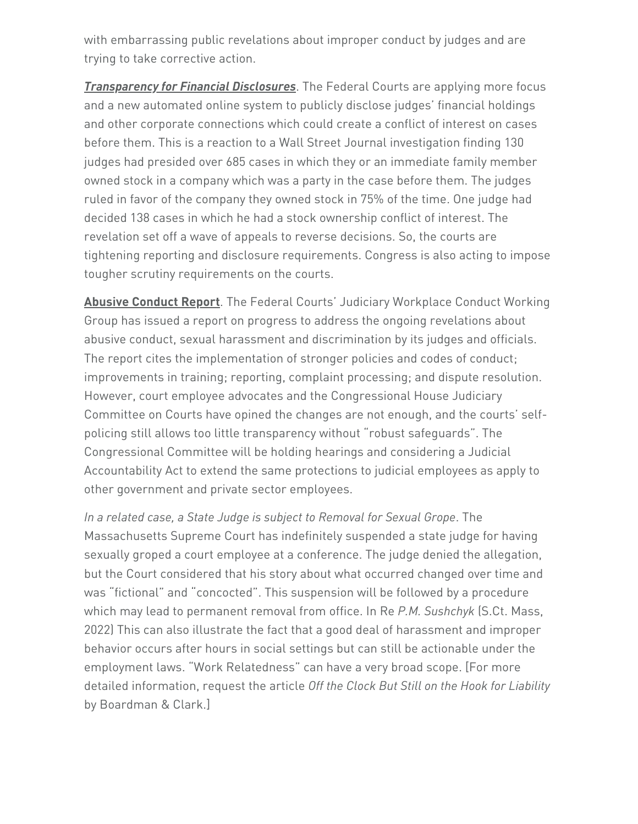with embarrassing public revelations about improper conduct by judges and are trying to take corrective action.

*Transparency for Financial Disclosures*. The Federal Courts are applying more focus and a new automated online system to publicly disclose judges' financial holdings and other corporate connections which could create a conflict of interest on cases before them. This is a reaction to a Wall Street Journal investigation finding 130 judges had presided over 685 cases in which they or an immediate family member owned stock in a company which was a party in the case before them. The judges ruled in favor of the company they owned stock in 75% of the time. One judge had decided 138 cases in which he had a stock ownership conflict of interest. The revelation set off a wave of appeals to reverse decisions. So, the courts are tightening reporting and disclosure requirements. Congress is also acting to impose tougher scrutiny requirements on the courts.

**Abusive Conduct Report**. The Federal Courts' Judiciary Workplace Conduct Working Group has issued a report on progress to address the ongoing revelations about abusive conduct, sexual harassment and discrimination by its judges and officials. The report cites the implementation of stronger policies and codes of conduct; improvements in training; reporting, complaint processing; and dispute resolution. However, court employee advocates and the Congressional House Judiciary Committee on Courts have opined the changes are not enough, and the courts' selfpolicing still allows too little transparency without "robust safeguards". The Congressional Committee will be holding hearings and considering a Judicial Accountability Act to extend the same protections to judicial employees as apply to other government and private sector employees.

*In a related case, a State Judge is subject to Removal for Sexual Grope*. The Massachusetts Supreme Court has indefinitely suspended a state judge for having sexually groped a court employee at a conference. The judge denied the allegation, but the Court considered that his story about what occurred changed over time and was "fictional" and "concocted". This suspension will be followed by a procedure which may lead to permanent removal from office. In Re *P.M. Sushchyk* (S.Ct. Mass, 2022) This can also illustrate the fact that a good deal of harassment and improper behavior occurs after hours in social settings but can still be actionable under the employment laws. "Work Relatedness" can have a very broad scope. [For more detailed information, request the article *Off the Clock But Still on the Hook for Liability* by Boardman & Clark.]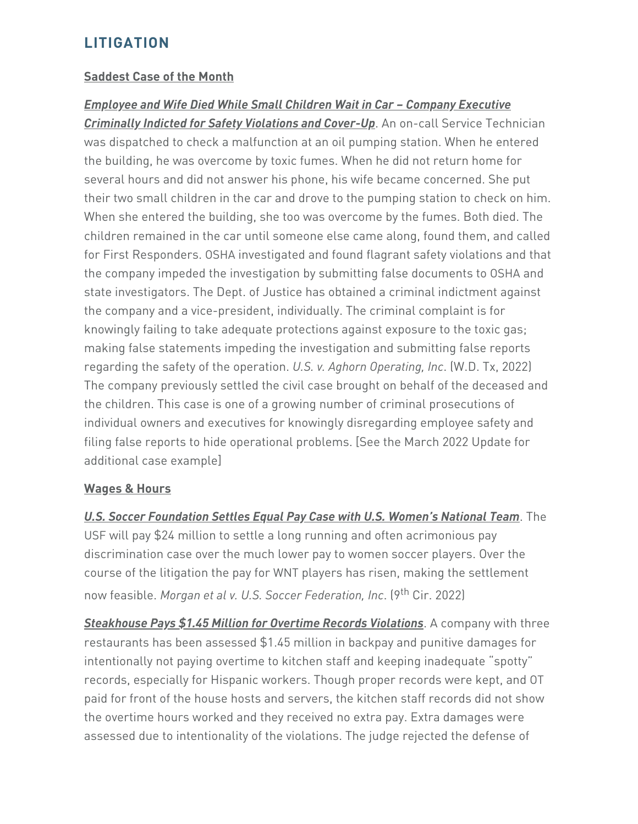## **LITIGATION**

#### **Saddest Case of the Month**

*Employee and Wife Died While Small Children Wait in Car – Company Executive Criminally Indicted for Safety Violations and Cover-Up*. An on-call Service Technician was dispatched to check a malfunction at an oil pumping station. When he entered the building, he was overcome by toxic fumes. When he did not return home for several hours and did not answer his phone, his wife became concerned. She put their two small children in the car and drove to the pumping station to check on him. When she entered the building, she too was overcome by the fumes. Both died. The children remained in the car until someone else came along, found them, and called for First Responders. OSHA investigated and found flagrant safety violations and that the company impeded the investigation by submitting false documents to OSHA and state investigators. The Dept. of Justice has obtained a criminal indictment against the company and a vice-president, individually. The criminal complaint is for knowingly failing to take adequate protections against exposure to the toxic gas; making false statements impeding the investigation and submitting false reports regarding the safety of the operation. *U.S. v. Aghorn Operating, Inc*. (W.D. Tx, 2022) The company previously settled the civil case brought on behalf of the deceased and the children. This case is one of a growing number of criminal prosecutions of individual owners and executives for knowingly disregarding employee safety and filing false reports to hide operational problems. [See the March 2022 Update for additional case example]

#### **Wages & Hours**

*U.S. Soccer Foundation Settles Equal Pay Case with U.S. Women's National Team*. The USF will pay \$24 million to settle a long running and often acrimonious pay discrimination case over the much lower pay to women soccer players. Over the course of the litigation the pay for WNT players has risen, making the settlement now feasible. *Morgan et al v. U.S. Soccer Federation, Inc*. (9 th Cir. 2022)

*Steakhouse Pays \$1.45 Million for Overtime Records Violations*. A company with three restaurants has been assessed \$1.45 million in backpay and punitive damages for intentionally not paying overtime to kitchen staff and keeping inadequate "spotty" records, especially for Hispanic workers. Though proper records were kept, and OT paid for front of the house hosts and servers, the kitchen staff records did not show the overtime hours worked and they received no extra pay. Extra damages were assessed due to intentionality of the violations. The judge rejected the defense of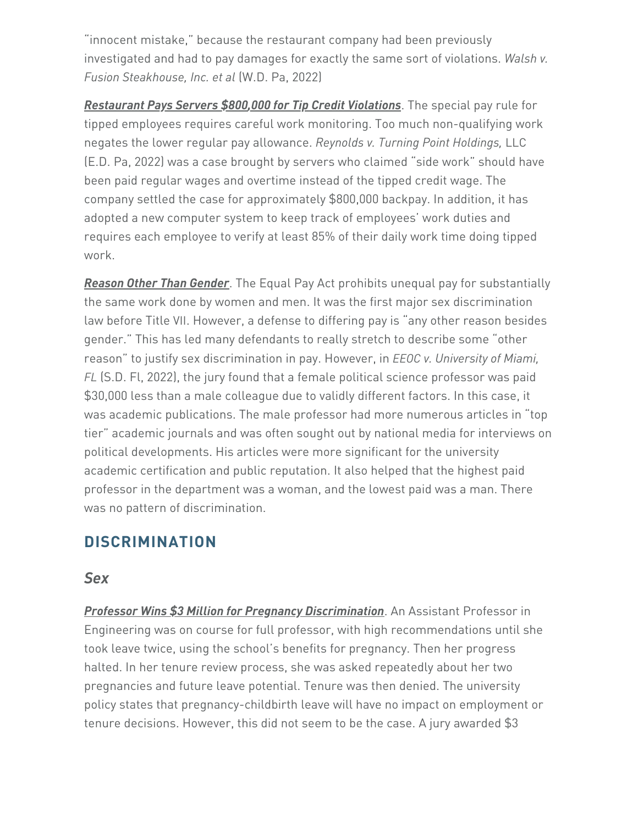"innocent mistake," because the restaurant company had been previously investigated and had to pay damages for exactly the same sort of violations. *Walsh v. Fusion Steakhouse, Inc. et al* (W.D. Pa, 2022)

*Restaurant Pays Servers \$800,000 for Tip Credit Violations*. The special pay rule for tipped employees requires careful work monitoring. Too much non-qualifying work negates the lower regular pay allowance. *Reynolds v. Turning Point Holdings,* LLC (E.D. Pa, 2022) was a case brought by servers who claimed "side work" should have been paid regular wages and overtime instead of the tipped credit wage. The company settled the case for approximately \$800,000 backpay. In addition, it has adopted a new computer system to keep track of employees' work duties and requires each employee to verify at least 85% of their daily work time doing tipped work.

*Reason Other Than Gender*. The Equal Pay Act prohibits unequal pay for substantially the same work done by women and men. It was the first major sex discrimination law before Title VII. However, a defense to differing pay is "any other reason besides gender." This has led many defendants to really stretch to describe some "other reason" to justify sex discrimination in pay. However, in *EEOC v. University of Miami, FL* (S.D. Fl, 2022), the jury found that a female political science professor was paid \$30,000 less than a male colleague due to validly different factors. In this case, it was academic publications. The male professor had more numerous articles in "top tier" academic journals and was often sought out by national media for interviews on political developments. His articles were more significant for the university academic certification and public reputation. It also helped that the highest paid professor in the department was a woman, and the lowest paid was a man. There was no pattern of discrimination.

## **DISCRIMINATION**

## *Sex*

*Professor Wins \$3 Million for Pregnancy Discrimination*. An Assistant Professor in Engineering was on course for full professor, with high recommendations until she took leave twice, using the school's benefits for pregnancy. Then her progress halted. In her tenure review process, she was asked repeatedly about her two pregnancies and future leave potential. Tenure was then denied. The university policy states that pregnancy-childbirth leave will have no impact on employment or tenure decisions. However, this did not seem to be the case. A jury awarded \$3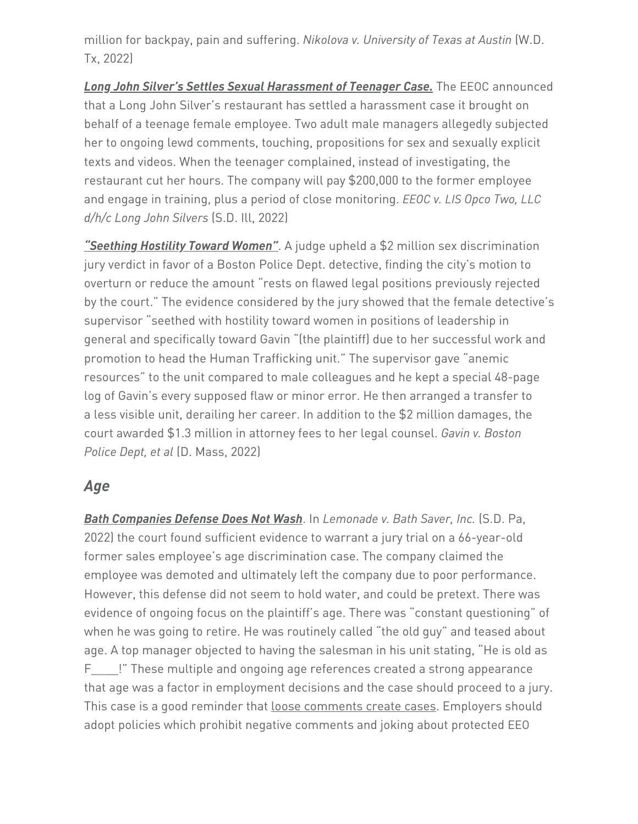million for backpay, pain and suffering. *Nikolova v. University of Texas at Austin* (W.D. Tx, 2022)

*Long John Silver's Settles Sexual Harassment of Teenager Case.* The EEOC announced that a Long John Silver's restaurant has settled a harassment case it brought on behalf of a teenage female employee. Two adult male managers allegedly subjected her to ongoing lewd comments, touching, propositions for sex and sexually explicit texts and videos. When the teenager complained, instead of investigating, the restaurant cut her hours. The company will pay \$200,000 to the former employee and engage in training, plus a period of close monitoring. *EEOC v. LIS Opco Two, LLC d/h/c Long John Silvers* (S.D. Ill, 2022)

*"Seething Hostility Toward Women"*. A judge upheld a \$2 million sex discrimination jury verdict in favor of a Boston Police Dept. detective, finding the city's motion to overturn or reduce the amount "rests on flawed legal positions previously rejected by the court." The evidence considered by the jury showed that the female detective's supervisor "seethed with hostility toward women in positions of leadership in general and specifically toward Gavin "(the plaintiff) due to her successful work and promotion to head the Human Trafficking unit." The supervisor gave "anemic resources" to the unit compared to male colleagues and he kept a special 48-page log of Gavin's every supposed flaw or minor error. He then arranged a transfer to a less visible unit, derailing her career. In addition to the \$2 million damages, the court awarded \$1.3 million in attorney fees to her legal counsel. *Gavin v. Boston Police Dept, et al* (D. Mass, 2022)

## *Age*

*Bath Companies Defense Does Not Wash*. In *Lemonade v. Bath Saver, Inc.* (S.D. Pa, 2022) the court found sufficient evidence to warrant a jury trial on a 66-year-old former sales employee's age discrimination case. The company claimed the employee was demoted and ultimately left the company due to poor performance. However, this defense did not seem to hold water, and could be pretext. There was evidence of ongoing focus on the plaintiff's age. There was "constant questioning" of when he was going to retire. He was routinely called "the old guy" and teased about age. A top manager objected to having the salesman in his unit stating, "He is old as F\_\_\_\_!" These multiple and ongoing age references created a strong appearance that age was a factor in employment decisions and the case should proceed to a jury. This case is a good reminder that loose comments create cases. Employers should adopt policies which prohibit negative comments and joking about protected EEO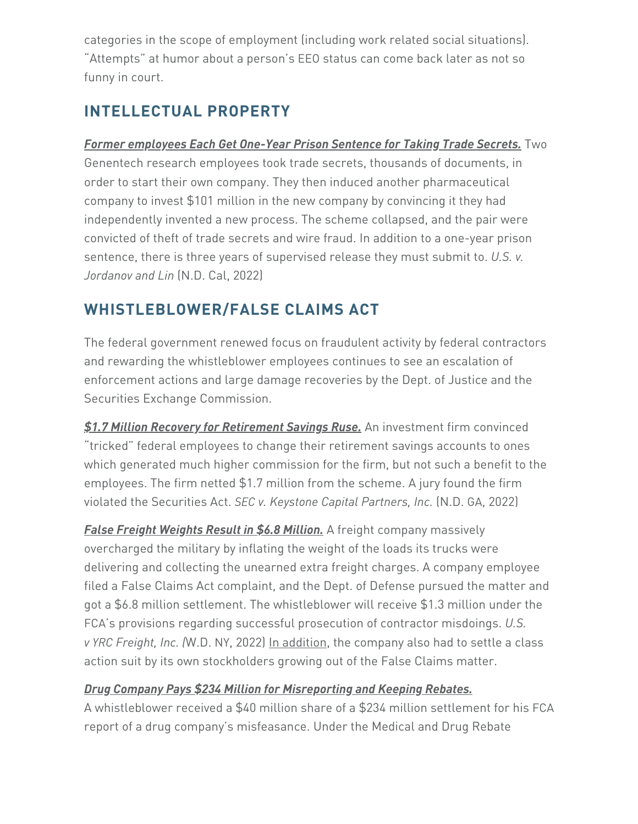categories in the scope of employment (including work related social situations). "Attempts" at humor about a person's EEO status can come back later as not so funny in court.

# **INTELLECTUAL PROPERTY**

*Former employees Each Get One-Year Prison Sentence for Taking Trade Secrets.* Two Genentech research employees took trade secrets, thousands of documents, in order to start their own company. They then induced another pharmaceutical company to invest \$101 million in the new company by convincing it they had independently invented a new process. The scheme collapsed, and the pair were convicted of theft of trade secrets and wire fraud. In addition to a one-year prison sentence, there is three years of supervised release they must submit to. *U.S. v. Jordanov and Lin* (N.D. Cal, 2022)

# **WHISTLEBLOWER/FALSE CLAIMS ACT**

The federal government renewed focus on fraudulent activity by federal contractors and rewarding the whistleblower employees continues to see an escalation of enforcement actions and large damage recoveries by the Dept. of Justice and the Securities Exchange Commission.

*\$1.7 Million Recovery for Retirement Savings Ruse.* An investment firm convinced "tricked" federal employees to change their retirement savings accounts to ones which generated much higher commission for the firm, but not such a benefit to the employees. The firm netted \$1.7 million from the scheme. A jury found the firm violated the Securities Act. *SEC v. Keystone Capital Partners, Inc.* (N.D. GA, 2022)

*False Freight Weights Result in \$6.8 Million.* A freight company massively overcharged the military by inflating the weight of the loads its trucks were delivering and collecting the unearned extra freight charges. A company employee filed a False Claims Act complaint, and the Dept. of Defense pursued the matter and got a \$6.8 million settlement. The whistleblower will receive \$1.3 million under the FCA's provisions regarding successful prosecution of contractor misdoings. *U.S. v YRC Freight, Inc. (*W.D. NY, 2022) In addition, the company also had to settle a class action suit by its own stockholders growing out of the False Claims matter.

## *Drug Company Pays \$234 Million for Misreporting and Keeping Rebates.*

A whistleblower received a \$40 million share of a \$234 million settlement for his FCA report of a drug company's misfeasance. Under the Medical and Drug Rebate